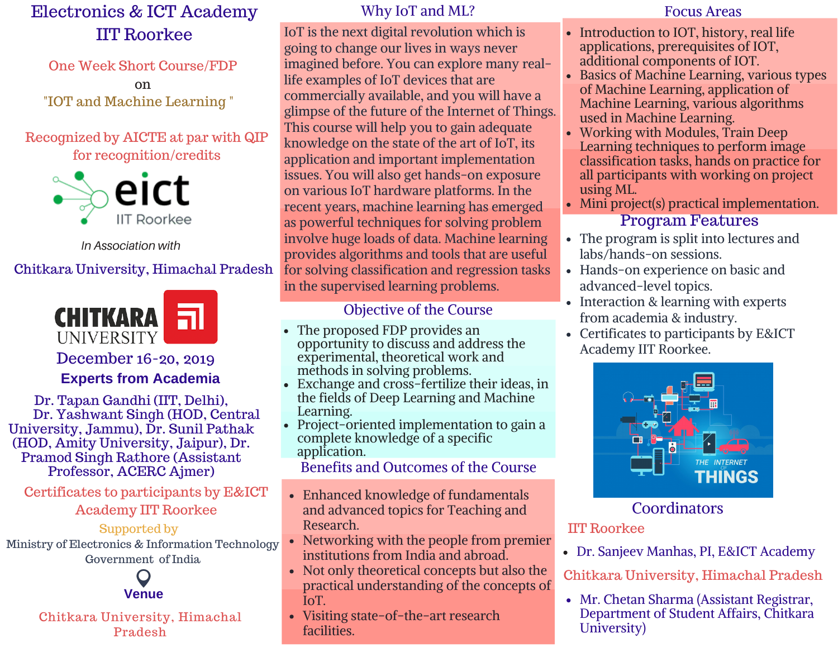# Electronics & ICT Academy IIT Roorkee

One Week Short Course/FDP on "IOT and Machine Learning "

## Recognized by AICTE at par with QIP for recognition/credits



*In Association with*

## Chitkara University, Himachal Pradesh



# December 16-20, 2019

#### **Experts from Academia**

Dr. Tapan Gandhi (IIT, Delhi), Dr. Yashwant Singh (HOD, Central University, Jammu), Dr. Sunil Pathak (HOD, Amity University, Jaipur), Dr. Pramod Singh Rathore (Assistant Professor, ACERC Ajmer)

Certificates to participants by E&ICT Academy IIT Roorkee

#### Supported by

Ministry of Electronics & Information Technology Government of India



#### Chitkara University, Himachal Pradesh

#### Why IoT and ML? Focus Areas

IoT is the next digital revolution which is going to change our lives in ways never imagined before. You can explore many reallife examples of IoT devices that are commercially available, and you will have a glimpse of the future of the Internet of Things. This course will help you to gain adequate knowledge on the state of the art of IoT, its application and important implementation issues. You will also get hands-on exposure on various IoT hardware platforms. In the recent years, machine learning has emerged as powerful techniques for solving problem involve huge loads of data. Machine learning provides algorithms and tools that are useful for solving classification and regression tasks in the supervised learning problems.

## Objective of the Course

- The proposed FDP provides an opportunity to discuss and address the experimental, theoretical work and methods in solving problems.
- Exchange and cross-fertilize their ideas, in the fields of Deep Learning and Machine Learning.
- Project-oriented implementation to gain a complete knowledge of a specific application.

Benefits and Outcomes of the Course

- Enhanced knowledge of fundamentals and advanced topics for Teaching and Research.
- Networking with the people from premier institutions from India and abroad.
- Not only theoretical concepts but also the practical understanding of the concepts of IoT.
- Visiting state-of-the-art research facilities.

- Introduction to IOT, history, real life applications, prerequisites of IOT, additional components of IOT.
- Basics of Machine Learning, various types of Machine Learning, application of Machine Learning, various algorithms used in Machine Learning.
- Working with Modules, Train Deep Learning techniques to perform image classification tasks, hands on practice for all participants with working on project using ML.
- Program Features • Mini project(s) practical implementation.
- The program is split into lectures and labs/hands-on sessions.
- Hands-on experience on basic and advanced-level topics.
- Interaction & learning with experts from academia & industry.
- Certificates to participants by E&ICT Academy IIT Roorkee.



## **Coordinators**

## IIT Roorkee

Dr. Sanjeev Manhas, PI, E&ICT Academy

Chitkara University, Himachal Pradesh

Mr. Chetan Sharma (Assistant Registrar, Department of Student Affairs, Chitkara University)